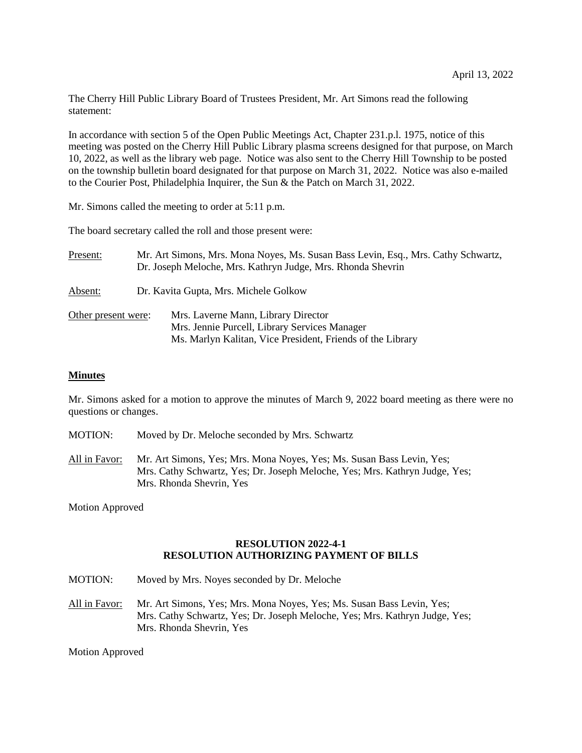The Cherry Hill Public Library Board of Trustees President, Mr. Art Simons read the following statement:

In accordance with section 5 of the Open Public Meetings Act, Chapter 231.p.l. 1975, notice of this meeting was posted on the Cherry Hill Public Library plasma screens designed for that purpose, on March 10, 2022, as well as the library web page. Notice was also sent to the Cherry Hill Township to be posted on the township bulletin board designated for that purpose on March 31, 2022. Notice was also e-mailed to the Courier Post, Philadelphia Inquirer, the Sun & the Patch on March 31, 2022.

Mr. Simons called the meeting to order at 5:11 p.m.

The board secretary called the roll and those present were:

| Present:            | Mr. Art Simons, Mrs. Mona Noyes, Ms. Susan Bass Levin, Esq., Mrs. Cathy Schwartz,<br>Dr. Joseph Meloche, Mrs. Kathryn Judge, Mrs. Rhonda Shevrin |                                                                                                                                                    |
|---------------------|--------------------------------------------------------------------------------------------------------------------------------------------------|----------------------------------------------------------------------------------------------------------------------------------------------------|
| Absent:             | Dr. Kavita Gupta, Mrs. Michele Golkow                                                                                                            |                                                                                                                                                    |
| Other present were: |                                                                                                                                                  | Mrs. Laverne Mann, Library Director<br>Mrs. Jennie Purcell, Library Services Manager<br>Ms. Marlyn Kalitan, Vice President, Friends of the Library |

#### **Minutes**

Mr. Simons asked for a motion to approve the minutes of March 9, 2022 board meeting as there were no questions or changes.

- MOTION: Moved by Dr. Meloche seconded by Mrs. Schwartz
- All in Favor: Mr. Art Simons, Yes; Mrs. Mona Noyes, Yes; Ms. Susan Bass Levin, Yes; Mrs. Cathy Schwartz, Yes; Dr. Joseph Meloche, Yes; Mrs. Kathryn Judge, Yes; Mrs. Rhonda Shevrin, Yes

Motion Approved

#### **RESOLUTION 2022-4-1 RESOLUTION AUTHORIZING PAYMENT OF BILLS**

- MOTION: Moved by Mrs. Noyes seconded by Dr. Meloche
- All in Favor: Mr. Art Simons, Yes; Mrs. Mona Noyes, Yes; Ms. Susan Bass Levin, Yes; Mrs. Cathy Schwartz, Yes; Dr. Joseph Meloche, Yes; Mrs. Kathryn Judge, Yes; Mrs. Rhonda Shevrin, Yes

Motion Approved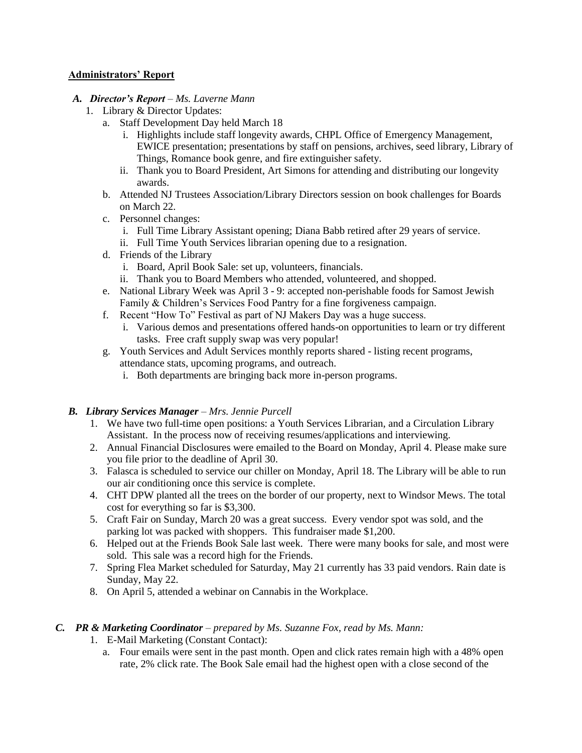## **Administrators' Report**

## *A. Director's Report – Ms. Laverne Mann*

- 1. Library & Director Updates:
	- a. Staff Development Day held March 18
		- i. Highlights include staff longevity awards, CHPL Office of Emergency Management, EWICE presentation; presentations by staff on pensions, archives, seed library, Library of Things, Romance book genre, and fire extinguisher safety.
		- ii. Thank you to Board President, Art Simons for attending and distributing our longevity awards.
	- b. Attended NJ Trustees Association/Library Directors session on book challenges for Boards on March 22.
	- c. Personnel changes:
		- i. Full Time Library Assistant opening; Diana Babb retired after 29 years of service.
		- ii. Full Time Youth Services librarian opening due to a resignation.
	- d. Friends of the Library
		- i. Board, April Book Sale: set up, volunteers, financials.
		- ii. Thank you to Board Members who attended, volunteered, and shopped.
	- e. National Library Week was April 3 9: accepted non-perishable foods for Samost Jewish Family & Children's Services Food Pantry for a fine forgiveness campaign.
	- f. Recent "How To" Festival as part of NJ Makers Day was a huge success.
		- i. Various demos and presentations offered hands-on opportunities to learn or try different tasks. Free craft supply swap was very popular!
	- g. Youth Services and Adult Services monthly reports shared listing recent programs, attendance stats, upcoming programs, and outreach.
		- i. Both departments are bringing back more in-person programs.

## *B. Library Services Manager – Mrs. Jennie Purcell*

- 1. We have two full-time open positions: a Youth Services Librarian, and a Circulation Library Assistant. In the process now of receiving resumes/applications and interviewing.
- 2. Annual Financial Disclosures were emailed to the Board on Monday, April 4. Please make sure you file prior to the deadline of April 30.
- 3. Falasca is scheduled to service our chiller on Monday, April 18. The Library will be able to run our air conditioning once this service is complete.
- 4. CHT DPW planted all the trees on the border of our property, next to Windsor Mews. The total cost for everything so far is \$3,300.
- 5. Craft Fair on Sunday, March 20 was a great success. Every vendor spot was sold, and the parking lot was packed with shoppers. This fundraiser made \$1,200.
- 6. Helped out at the Friends Book Sale last week. There were many books for sale, and most were sold. This sale was a record high for the Friends.
- 7. Spring Flea Market scheduled for Saturday, May 21 currently has 33 paid vendors. Rain date is Sunday, May 22.
- 8. On April 5, attended a webinar on Cannabis in the Workplace.

## *C. PR & Marketing Coordinator – prepared by Ms. Suzanne Fox, read by Ms. Mann:*

- 1. E-Mail Marketing (Constant Contact):
	- a. Four emails were sent in the past month. Open and click rates remain high with a 48% open rate, 2% click rate. The Book Sale email had the highest open with a close second of the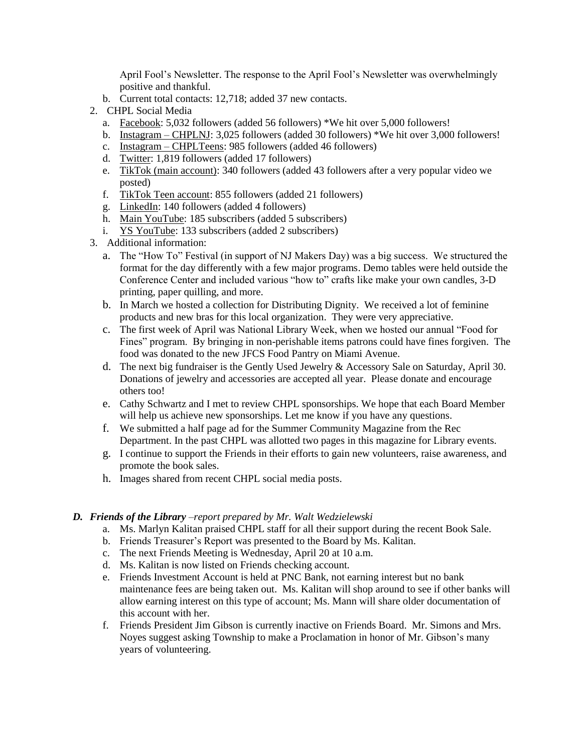April Fool's Newsletter. The response to the April Fool's Newsletter was overwhelmingly positive and thankful.

- b. Current total contacts: 12,718; added 37 new contacts.
- 2. CHPL Social Media
	- a. Facebook: 5,032 followers (added 56 followers) \*We hit over 5,000 followers!
	- b. Instagram CHPLNJ: 3,025 followers (added 30 followers) \*We hit over 3,000 followers!
	- c. Instagram CHPLTeens: 985 followers (added 46 followers)
	- d. Twitter: 1,819 followers (added 17 followers)
	- e. TikTok (main account): 340 followers (added 43 followers after a very popular video we posted)
	- f. TikTok Teen account: 855 followers (added 21 followers)
	- g. LinkedIn: 140 followers (added 4 followers)
	- h. Main YouTube: 185 subscribers (added 5 subscribers)
	- i. YS YouTube: 133 subscribers (added 2 subscribers)
- 3. Additional information:
	- a. The "How To" Festival (in support of NJ Makers Day) was a big success. We structured the format for the day differently with a few major programs. Demo tables were held outside the Conference Center and included various "how to" crafts like make your own candles, 3-D printing, paper quilling, and more.
	- b. In March we hosted a collection for Distributing Dignity. We received a lot of feminine products and new bras for this local organization. They were very appreciative.
	- c. The first week of April was National Library Week, when we hosted our annual "Food for Fines" program. By bringing in non-perishable items patrons could have fines forgiven. The food was donated to the new JFCS Food Pantry on Miami Avenue.
	- d. The next big fundraiser is the Gently Used Jewelry & Accessory Sale on Saturday, April 30. Donations of jewelry and accessories are accepted all year. Please donate and encourage others too!
	- e. Cathy Schwartz and I met to review CHPL sponsorships. We hope that each Board Member will help us achieve new sponsorships. Let me know if you have any questions.
	- f. We submitted a half page ad for the Summer Community Magazine from the Rec Department. In the past CHPL was allotted two pages in this magazine for Library events.
	- g. I continue to support the Friends in their efforts to gain new volunteers, raise awareness, and promote the book sales.
	- h. Images shared from recent CHPL social media posts.

#### *D. Friends of the Library –report prepared by Mr. Walt Wedzielewski*

- a. Ms. Marlyn Kalitan praised CHPL staff for all their support during the recent Book Sale.
- b. Friends Treasurer's Report was presented to the Board by Ms. Kalitan.
- c. The next Friends Meeting is Wednesday, April 20 at 10 a.m.
- d. Ms. Kalitan is now listed on Friends checking account.
- e. Friends Investment Account is held at PNC Bank, not earning interest but no bank maintenance fees are being taken out. Ms. Kalitan will shop around to see if other banks will allow earning interest on this type of account; Ms. Mann will share older documentation of this account with her.
- f. Friends President Jim Gibson is currently inactive on Friends Board. Mr. Simons and Mrs. Noyes suggest asking Township to make a Proclamation in honor of Mr. Gibson's many years of volunteering.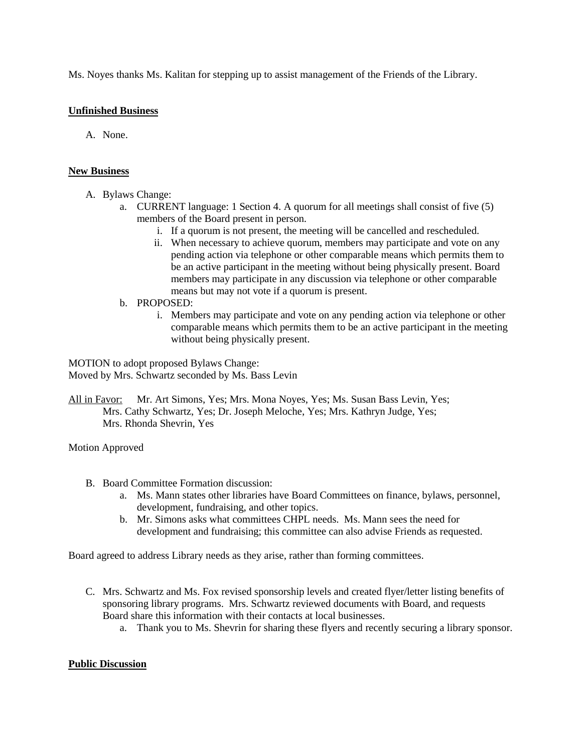Ms. Noyes thanks Ms. Kalitan for stepping up to assist management of the Friends of the Library.

## **Unfinished Business**

A. None.

#### **New Business**

- A. Bylaws Change:
	- a. CURRENT language: 1 Section 4. A quorum for all meetings shall consist of five (5) members of the Board present in person.
		- i. If a quorum is not present, the meeting will be cancelled and rescheduled.
		- ii. When necessary to achieve quorum, members may participate and vote on any pending action via telephone or other comparable means which permits them to be an active participant in the meeting without being physically present. Board members may participate in any discussion via telephone or other comparable means but may not vote if a quorum is present.
	- b. PROPOSED:
		- i. Members may participate and vote on any pending action via telephone or other comparable means which permits them to be an active participant in the meeting without being physically present.

MOTION to adopt proposed Bylaws Change: Moved by Mrs. Schwartz seconded by Ms. Bass Levin

All in Favor: Mr. Art Simons, Yes; Mrs. Mona Noyes, Yes; Ms. Susan Bass Levin, Yes; Mrs. Cathy Schwartz, Yes; Dr. Joseph Meloche, Yes; Mrs. Kathryn Judge, Yes; Mrs. Rhonda Shevrin, Yes

Motion Approved

- B. Board Committee Formation discussion:
	- a. Ms. Mann states other libraries have Board Committees on finance, bylaws, personnel, development, fundraising, and other topics.
	- b. Mr. Simons asks what committees CHPL needs. Ms. Mann sees the need for development and fundraising; this committee can also advise Friends as requested.

Board agreed to address Library needs as they arise, rather than forming committees.

- C. Mrs. Schwartz and Ms. Fox revised sponsorship levels and created flyer/letter listing benefits of sponsoring library programs. Mrs. Schwartz reviewed documents with Board, and requests Board share this information with their contacts at local businesses.
	- a. Thank you to Ms. Shevrin for sharing these flyers and recently securing a library sponsor.

## **Public Discussion**